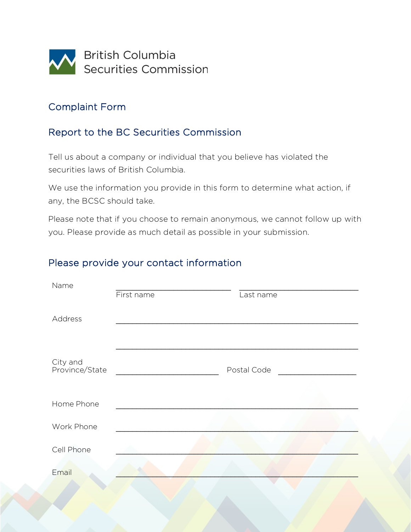

### Complaint Form

### Report to the BC Securities Commission

Tell us about a company or individual that you believe has violated the securities laws of British Columbia.

We use the information you provide in this form to determine what action, if any, the BCSC should take.

Please note that if you choose to remain anonymous, we cannot follow up with you. Please provide as much detail as possible in your submission.

#### Please provide your contact information

| Name                       | First name | Last name   |  |
|----------------------------|------------|-------------|--|
| Address                    |            |             |  |
| City and<br>Province/State |            | Postal Code |  |
| Home Phone                 |            |             |  |
| Work Phone                 |            |             |  |
| Cell Phone                 |            |             |  |
| Email                      |            |             |  |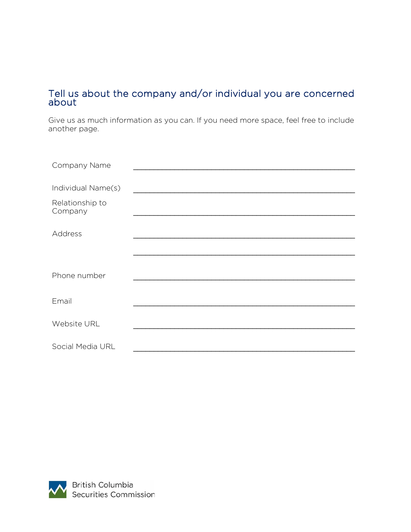#### Tell us about the company and/or individual you are concerned about

Give us as much information as you can. If you need more space, feel free to include another page.

| Company Name               |  |
|----------------------------|--|
|                            |  |
| Individual Name(s)         |  |
| Relationship to<br>Company |  |
|                            |  |
| Address                    |  |
|                            |  |
|                            |  |
| Phone number               |  |
|                            |  |
| Email                      |  |
|                            |  |
| Website URL                |  |
|                            |  |
| Social Media URL           |  |

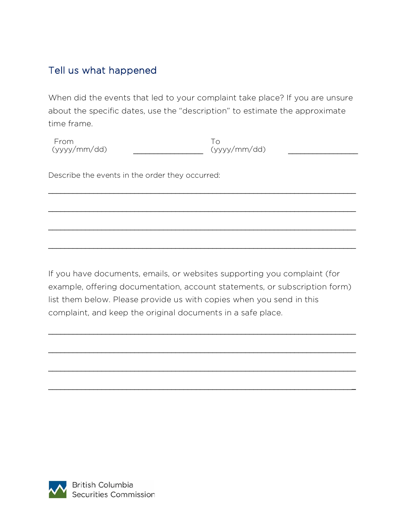# Tell us what happened

When did the events that led to your complaint take place? If you are unsure about the specific dates, use the "description" to estimate the approximate time frame.

\_\_\_\_\_\_\_\_\_\_\_\_\_\_\_\_\_\_\_\_\_\_\_\_\_\_\_\_\_\_\_\_\_\_\_\_\_\_\_\_\_\_\_\_\_\_\_\_\_\_\_\_\_\_\_\_\_\_\_\_\_\_\_\_\_\_\_\_\_\_\_\_\_\_\_

\_\_\_\_\_\_\_\_\_\_\_\_\_\_\_\_\_\_\_\_\_\_\_\_\_\_\_\_\_\_\_\_\_\_\_\_\_\_\_\_\_\_\_\_\_\_\_\_\_\_\_\_\_\_\_\_\_\_\_\_\_\_\_\_\_\_\_\_\_\_\_\_\_\_\_

\_\_\_\_\_\_\_\_\_\_\_\_\_\_\_\_\_\_\_\_\_\_\_\_\_\_\_\_\_\_\_\_\_\_\_\_\_\_\_\_\_\_\_\_\_\_\_\_\_\_\_\_\_\_\_\_\_\_\_\_\_\_\_\_\_\_\_\_\_\_\_\_\_\_\_

\_\_\_\_\_\_\_\_\_\_\_\_\_\_\_\_\_\_\_\_\_\_\_\_\_\_\_\_\_\_\_\_\_\_\_\_\_\_\_\_\_\_\_\_\_\_\_\_\_\_\_\_\_\_\_\_\_\_\_\_\_\_\_\_\_\_\_\_\_\_\_\_\_\_\_

From  $(yyyy/mm/dd)$ To  $(yyyy/mm/dd)$ 

Describe the events in the order they occurred:

If you have documents, emails, or websites supporting you complaint (for example, offering documentation, account statements, or subscription form) list them below. Please provide us with copies when you send in this complaint, and keep the original documents in a safe place.

\_\_\_\_\_\_\_\_\_\_\_\_\_\_\_\_\_\_\_\_\_\_\_\_\_\_\_\_\_\_\_\_\_\_\_\_\_\_\_\_\_\_\_\_\_\_\_\_\_\_\_\_\_\_\_\_\_\_\_\_\_\_\_\_\_\_\_\_\_\_\_\_\_\_\_

\_\_\_\_\_\_\_\_\_\_\_\_\_\_\_\_\_\_\_\_\_\_\_\_\_\_\_\_\_\_\_\_\_\_\_\_\_\_\_\_\_\_\_\_\_\_\_\_\_\_\_\_\_\_\_\_\_\_\_\_\_\_\_\_\_\_\_\_\_\_\_\_\_\_\_

\_\_\_\_\_\_\_\_\_\_\_\_\_\_\_\_\_\_\_\_\_\_\_\_\_\_\_\_\_\_\_\_\_\_\_\_\_\_\_\_\_\_\_\_\_\_\_\_\_\_\_\_\_\_\_\_\_\_\_\_\_\_\_\_\_\_\_\_\_\_\_\_\_\_\_

\_\_\_\_\_\_\_\_\_\_\_\_\_\_\_\_\_\_\_\_\_\_\_\_\_\_\_\_\_\_\_\_\_\_\_\_\_\_\_\_\_\_\_\_\_\_\_\_\_\_\_\_\_\_\_\_\_\_\_\_\_\_\_\_\_\_\_\_\_\_\_\_\_\_**\_**

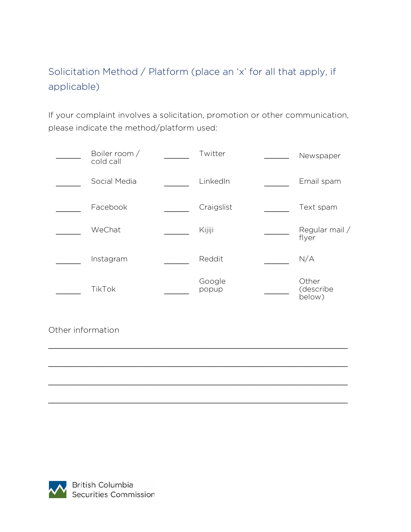# Solicitation Method / Platform (place an 'x' for all that apply, if applicable)

If your complaint involves a solicitation, promotion or other communication, please indicate the method/platform used:

|                   | Boiler room /<br>cold call | Twitter         | Newspaper                    |
|-------------------|----------------------------|-----------------|------------------------------|
|                   | Social Media               | LinkedIn        | Email spam                   |
|                   | Facebook                   | Craigslist      | Text spam                    |
|                   | WeChat                     | Kijiji          | Regular mail /<br>flyer      |
|                   | Instagram                  | Reddit          | N/A                          |
|                   | TikTok                     | Google<br>popup | Other<br>(describe<br>below) |
| Other information |                            |                 |                              |

\_\_\_\_\_\_\_\_\_\_\_\_\_\_\_\_\_\_\_\_\_\_\_\_\_\_\_\_\_\_\_\_\_\_\_\_\_\_\_\_\_\_\_\_\_\_\_\_\_\_\_\_\_\_\_\_\_\_\_\_\_\_\_\_\_\_\_\_\_\_\_\_\_

\_\_\_\_\_\_\_\_\_\_\_\_\_\_\_\_\_\_\_\_\_\_\_\_\_\_\_\_\_\_\_\_\_\_\_\_\_\_\_\_\_\_\_\_\_\_\_\_\_\_\_\_\_\_\_\_\_\_\_\_\_\_\_\_\_\_\_\_\_\_\_\_\_

\_\_\_\_\_\_\_\_\_\_\_\_\_\_\_\_\_\_\_\_\_\_\_\_\_\_\_\_\_\_\_\_\_\_\_\_\_\_\_\_\_\_\_\_\_\_\_\_\_\_\_\_\_\_\_\_\_\_\_\_\_\_\_\_\_\_\_\_\_\_\_\_\_

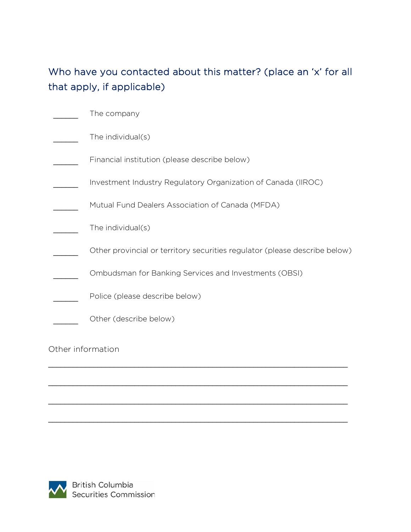# Who have you contacted about this matter? (place an 'x' for all that apply, if applicable)

|                   | The company                                                                |
|-------------------|----------------------------------------------------------------------------|
|                   | The individual(s)                                                          |
|                   | Financial institution (please describe below)                              |
|                   | Investment Industry Regulatory Organization of Canada (IIROC)              |
|                   | Mutual Fund Dealers Association of Canada (MFDA)                           |
|                   | The individual(s)                                                          |
|                   | Other provincial or territory securities regulator (please describe below) |
|                   | Ombudsman for Banking Services and Investments (OBSI)                      |
|                   | Police (please describe below)                                             |
|                   | Other (describe below)                                                     |
| Other information |                                                                            |

\_\_\_\_\_\_\_\_\_\_\_\_\_\_\_\_\_\_\_\_\_\_\_\_\_\_\_\_\_\_\_\_\_\_\_\_\_\_\_\_\_\_\_\_\_\_\_\_\_\_\_\_\_\_\_\_\_\_\_\_\_\_\_\_\_\_\_\_\_\_\_\_\_

\_\_\_\_\_\_\_\_\_\_\_\_\_\_\_\_\_\_\_\_\_\_\_\_\_\_\_\_\_\_\_\_\_\_\_\_\_\_\_\_\_\_\_\_\_\_\_\_\_\_\_\_\_\_\_\_\_\_\_\_\_\_\_\_\_\_\_\_\_\_\_\_\_

\_\_\_\_\_\_\_\_\_\_\_\_\_\_\_\_\_\_\_\_\_\_\_\_\_\_\_\_\_\_\_\_\_\_\_\_\_\_\_\_\_\_\_\_\_\_\_\_\_\_\_\_\_\_\_\_\_\_\_\_\_\_\_\_\_\_\_\_\_\_\_\_\_

\_\_\_\_\_\_\_\_\_\_\_\_\_\_\_\_\_\_\_\_\_\_\_\_\_\_\_\_\_\_\_\_\_\_\_\_\_\_\_\_\_\_\_\_\_\_\_\_\_\_\_\_\_\_\_\_\_\_\_\_\_\_\_\_\_\_\_\_\_\_\_\_\_

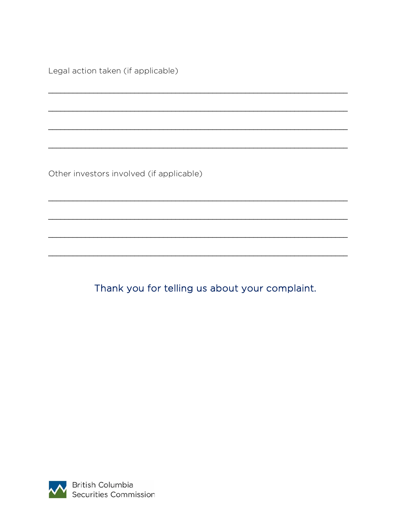Legal action taken (if applicable)

Other investors involved (if applicable)

Thank you for telling us about your complaint.